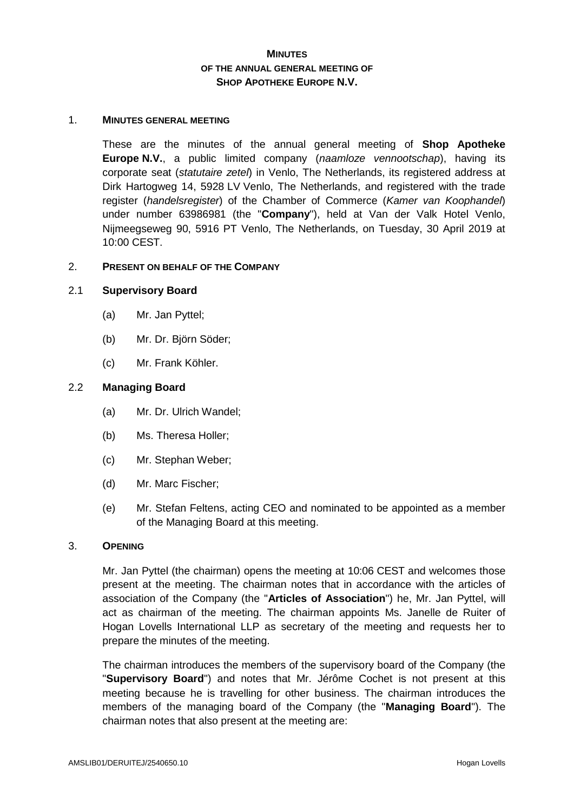# **MINUTES OF THE ANNUAL GENERAL MEETING OF SHOP APOTHEKE EUROPE N.V.**

#### 1. **MINUTES GENERAL MEETING**

These are the minutes of the annual general meeting of **Shop Apotheke Europe N.V.**, a public limited company (*naamloze vennootschap*), having its corporate seat (*statutaire zetel*) in Venlo, The Netherlands, its registered address at Dirk Hartogweg 14, 5928 LV Venlo, The Netherlands, and registered with the trade register (*handelsregister*) of the Chamber of Commerce (*Kamer van Koophandel*) under number 63986981 (the "**Company**"), held at Van der Valk Hotel Venlo, Nijmeegseweg 90, 5916 PT Venlo, The Netherlands, on Tuesday, 30 April 2019 at 10:00 CEST.

#### 2. **PRESENT ON BEHALF OF THE COMPANY**

### 2.1 **Supervisory Board**

- (a) Mr. Jan Pyttel;
- (b) Mr. Dr. Björn Söder;
- (c) Mr. Frank Köhler.

### 2.2 **Managing Board**

- (a) Mr. Dr. Ulrich Wandel;
- (b) Ms. Theresa Holler;
- (c) Mr. Stephan Weber;
- (d) Mr. Marc Fischer;
- (e) Mr. Stefan Feltens, acting CEO and nominated to be appointed as a member of the Managing Board at this meeting.

### 3. **OPENING**

Mr. Jan Pyttel (the chairman) opens the meeting at 10:06 CEST and welcomes those present at the meeting. The chairman notes that in accordance with the articles of association of the Company (the "**Articles of Association**") he, Mr. Jan Pyttel, will act as chairman of the meeting. The chairman appoints Ms. Janelle de Ruiter of Hogan Lovells International LLP as secretary of the meeting and requests her to prepare the minutes of the meeting.

The chairman introduces the members of the supervisory board of the Company (the "**Supervisory Board**") and notes that Mr. Jérôme Cochet is not present at this meeting because he is travelling for other business. The chairman introduces the members of the managing board of the Company (the "**Managing Board**"). The chairman notes that also present at the meeting are: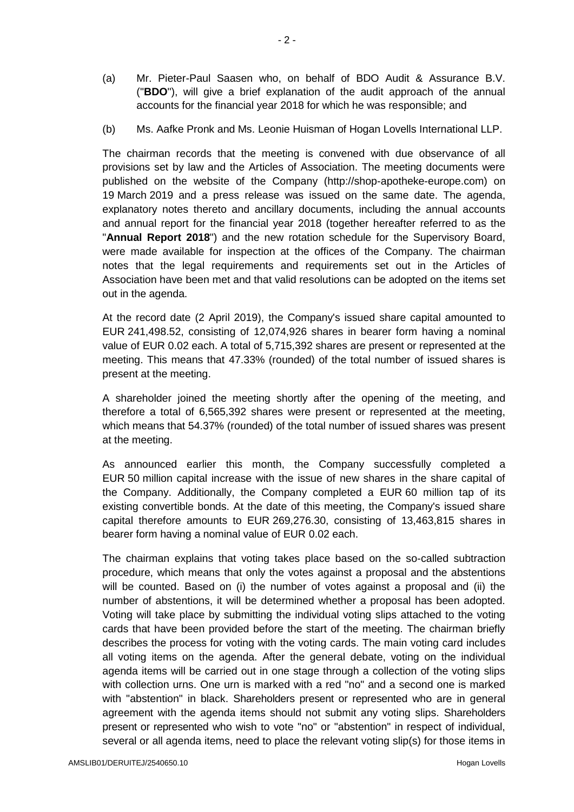- (a) Mr. Pieter-Paul Saasen who, on behalf of BDO Audit & Assurance B.V. ("**BDO**"), will give a brief explanation of the audit approach of the annual accounts for the financial year 2018 for which he was responsible; and
- (b) Ms. Aafke Pronk and Ms. Leonie Huisman of Hogan Lovells International LLP.

The chairman records that the meeting is convened with due observance of all provisions set by law and the Articles of Association. The meeting documents were published on the website of the Company (http://shop-apotheke-europe.com) on 19 March 2019 and a press release was issued on the same date. The agenda, explanatory notes thereto and ancillary documents, including the annual accounts and annual report for the financial year 2018 (together hereafter referred to as the "**Annual Report 2018**") and the new rotation schedule for the Supervisory Board, were made available for inspection at the offices of the Company. The chairman notes that the legal requirements and requirements set out in the Articles of Association have been met and that valid resolutions can be adopted on the items set out in the agenda.

At the record date (2 April 2019), the Company's issued share capital amounted to EUR 241,498.52, consisting of 12,074,926 shares in bearer form having a nominal value of EUR 0.02 each. A total of 5,715,392 shares are present or represented at the meeting. This means that 47.33% (rounded) of the total number of issued shares is present at the meeting.

A shareholder joined the meeting shortly after the opening of the meeting, and therefore a total of 6,565,392 shares were present or represented at the meeting, which means that 54.37% (rounded) of the total number of issued shares was present at the meeting.

As announced earlier this month, the Company successfully completed a EUR 50 million capital increase with the issue of new shares in the share capital of the Company. Additionally, the Company completed a EUR 60 million tap of its existing convertible bonds. At the date of this meeting, the Company's issued share capital therefore amounts to EUR 269,276.30, consisting of 13,463,815 shares in bearer form having a nominal value of EUR 0.02 each.

The chairman explains that voting takes place based on the so-called subtraction procedure, which means that only the votes against a proposal and the abstentions will be counted. Based on (i) the number of votes against a proposal and (ii) the number of abstentions, it will be determined whether a proposal has been adopted. Voting will take place by submitting the individual voting slips attached to the voting cards that have been provided before the start of the meeting. The chairman briefly describes the process for voting with the voting cards. The main voting card includes all voting items on the agenda. After the general debate, voting on the individual agenda items will be carried out in one stage through a collection of the voting slips with collection urns. One urn is marked with a red "no" and a second one is marked with "abstention" in black. Shareholders present or represented who are in general agreement with the agenda items should not submit any voting slips. Shareholders present or represented who wish to vote "no" or "abstention" in respect of individual, several or all agenda items, need to place the relevant voting slip(s) for those items in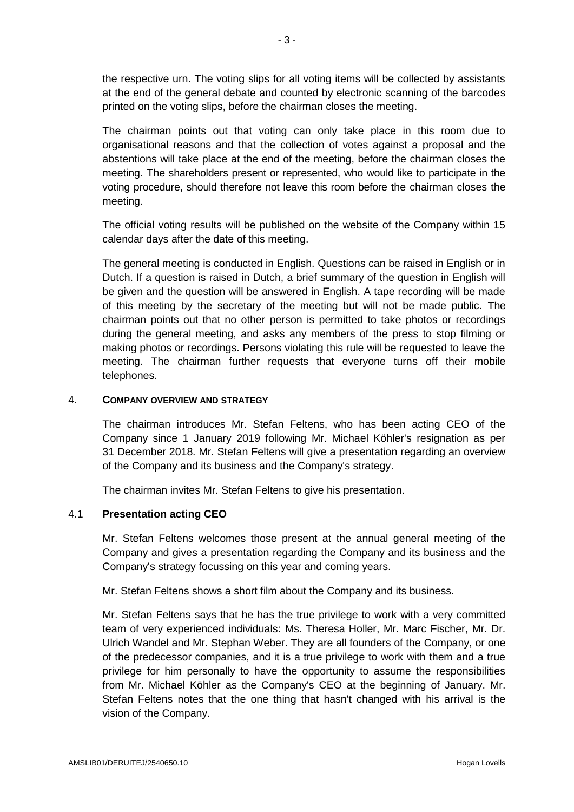the respective urn. The voting slips for all voting items will be collected by assistants at the end of the general debate and counted by electronic scanning of the barcodes printed on the voting slips, before the chairman closes the meeting.

The chairman points out that voting can only take place in this room due to organisational reasons and that the collection of votes against a proposal and the abstentions will take place at the end of the meeting, before the chairman closes the meeting. The shareholders present or represented, who would like to participate in the voting procedure, should therefore not leave this room before the chairman closes the meeting.

The official voting results will be published on the website of the Company within 15 calendar days after the date of this meeting.

The general meeting is conducted in English. Questions can be raised in English or in Dutch. If a question is raised in Dutch, a brief summary of the question in English will be given and the question will be answered in English. A tape recording will be made of this meeting by the secretary of the meeting but will not be made public. The chairman points out that no other person is permitted to take photos or recordings during the general meeting, and asks any members of the press to stop filming or making photos or recordings. Persons violating this rule will be requested to leave the meeting. The chairman further requests that everyone turns off their mobile telephones.

## 4. **COMPANY OVERVIEW AND STRATEGY**

The chairman introduces Mr. Stefan Feltens, who has been acting CEO of the Company since 1 January 2019 following Mr. Michael Köhler's resignation as per 31 December 2018. Mr. Stefan Feltens will give a presentation regarding an overview of the Company and its business and the Company's strategy.

The chairman invites Mr. Stefan Feltens to give his presentation.

# 4.1 **Presentation acting CEO**

Mr. Stefan Feltens welcomes those present at the annual general meeting of the Company and gives a presentation regarding the Company and its business and the Company's strategy focussing on this year and coming years.

Mr. Stefan Feltens shows a short film about the Company and its business.

Mr. Stefan Feltens says that he has the true privilege to work with a very committed team of very experienced individuals: Ms. Theresa Holler, Mr. Marc Fischer, Mr. Dr. Ulrich Wandel and Mr. Stephan Weber. They are all founders of the Company, or one of the predecessor companies, and it is a true privilege to work with them and a true privilege for him personally to have the opportunity to assume the responsibilities from Mr. Michael Köhler as the Company's CEO at the beginning of January. Mr. Stefan Feltens notes that the one thing that hasn't changed with his arrival is the vision of the Company.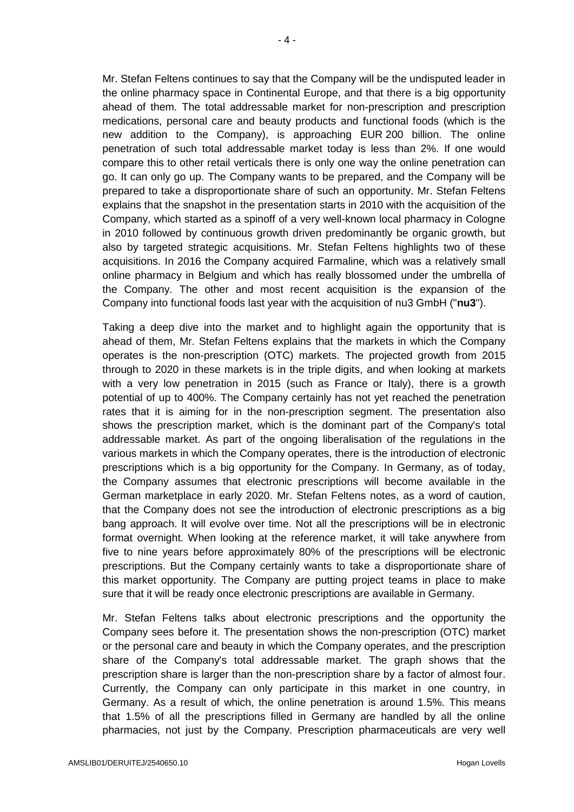Mr. Stefan Feltens continues to say that the Company will be the undisputed leader in the online pharmacy space in Continental Europe, and that there is a big opportunity ahead of them. The total addressable market for non-prescription and prescription medications, personal care and beauty products and functional foods (which is the new addition to the Company), is approaching EUR 200 billion. The online penetration of such total addressable market today is less than 2%. If one would compare this to other retail verticals there is only one way the online penetration can go. It can only go up. The Company wants to be prepared, and the Company will be prepared to take a disproportionate share of such an opportunity. Mr. Stefan Feltens explains that the snapshot in the presentation starts in 2010 with the acquisition of the Company, which started as a spinoff of a very well-known local pharmacy in Cologne in 2010 followed by continuous growth driven predominantly be organic growth, but also by targeted strategic acquisitions. Mr. Stefan Feltens highlights two of these acquisitions. In 2016 the Company acquired Farmaline, which was a relatively small online pharmacy in Belgium and which has really blossomed under the umbrella of the Company. The other and most recent acquisition is the expansion of the Company into functional foods last year with the acquisition of nu3 GmbH ("**nu3**").

Taking a deep dive into the market and to highlight again the opportunity that is ahead of them, Mr. Stefan Feltens explains that the markets in which the Company operates is the non-prescription (OTC) markets. The projected growth from 2015 through to 2020 in these markets is in the triple digits, and when looking at markets with a very low penetration in 2015 (such as France or Italy), there is a growth potential of up to 400%. The Company certainly has not yet reached the penetration rates that it is aiming for in the non-prescription segment. The presentation also shows the prescription market, which is the dominant part of the Company's total addressable market. As part of the ongoing liberalisation of the regulations in the various markets in which the Company operates, there is the introduction of electronic prescriptions which is a big opportunity for the Company. In Germany, as of today, the Company assumes that electronic prescriptions will become available in the German marketplace in early 2020. Mr. Stefan Feltens notes, as a word of caution, that the Company does not see the introduction of electronic prescriptions as a big bang approach. It will evolve over time. Not all the prescriptions will be in electronic format overnight. When looking at the reference market, it will take anywhere from five to nine years before approximately 80% of the prescriptions will be electronic prescriptions. But the Company certainly wants to take a disproportionate share of this market opportunity. The Company are putting project teams in place to make sure that it will be ready once electronic prescriptions are available in Germany.

Mr. Stefan Feltens talks about electronic prescriptions and the opportunity the Company sees before it. The presentation shows the non-prescription (OTC) market or the personal care and beauty in which the Company operates, and the prescription share of the Company's total addressable market. The graph shows that the prescription share is larger than the non-prescription share by a factor of almost four. Currently, the Company can only participate in this market in one country, in Germany. As a result of which, the online penetration is around 1.5%. This means that 1.5% of all the prescriptions filled in Germany are handled by all the online pharmacies, not just by the Company. Prescription pharmaceuticals are very well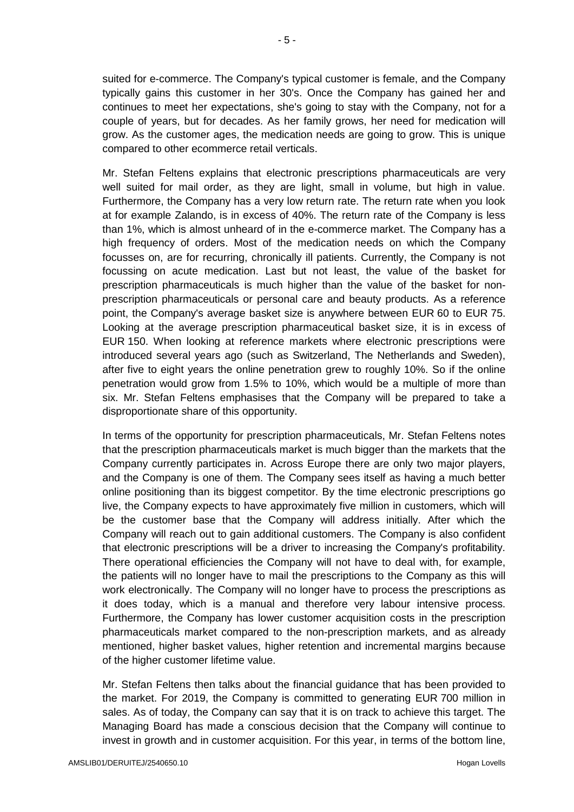suited for e-commerce. The Company's typical customer is female, and the Company typically gains this customer in her 30's. Once the Company has gained her and continues to meet her expectations, she's going to stay with the Company, not for a couple of years, but for decades. As her family grows, her need for medication will grow. As the customer ages, the medication needs are going to grow. This is unique compared to other ecommerce retail verticals.

Mr. Stefan Feltens explains that electronic prescriptions pharmaceuticals are very well suited for mail order, as they are light, small in volume, but high in value. Furthermore, the Company has a very low return rate. The return rate when you look at for example Zalando, is in excess of 40%. The return rate of the Company is less than 1%, which is almost unheard of in the e-commerce market. The Company has a high frequency of orders. Most of the medication needs on which the Company focusses on, are for recurring, chronically ill patients. Currently, the Company is not focussing on acute medication. Last but not least, the value of the basket for prescription pharmaceuticals is much higher than the value of the basket for nonprescription pharmaceuticals or personal care and beauty products. As a reference point, the Company's average basket size is anywhere between EUR 60 to EUR 75. Looking at the average prescription pharmaceutical basket size, it is in excess of EUR 150. When looking at reference markets where electronic prescriptions were introduced several years ago (such as Switzerland, The Netherlands and Sweden), after five to eight years the online penetration grew to roughly 10%. So if the online penetration would grow from 1.5% to 10%, which would be a multiple of more than six. Mr. Stefan Feltens emphasises that the Company will be prepared to take a disproportionate share of this opportunity.

In terms of the opportunity for prescription pharmaceuticals, Mr. Stefan Feltens notes that the prescription pharmaceuticals market is much bigger than the markets that the Company currently participates in. Across Europe there are only two major players, and the Company is one of them. The Company sees itself as having a much better online positioning than its biggest competitor. By the time electronic prescriptions go live, the Company expects to have approximately five million in customers, which will be the customer base that the Company will address initially. After which the Company will reach out to gain additional customers. The Company is also confident that electronic prescriptions will be a driver to increasing the Company's profitability. There operational efficiencies the Company will not have to deal with, for example, the patients will no longer have to mail the prescriptions to the Company as this will work electronically. The Company will no longer have to process the prescriptions as it does today, which is a manual and therefore very labour intensive process. Furthermore, the Company has lower customer acquisition costs in the prescription pharmaceuticals market compared to the non-prescription markets, and as already mentioned, higher basket values, higher retention and incremental margins because of the higher customer lifetime value.

Mr. Stefan Feltens then talks about the financial guidance that has been provided to the market. For 2019, the Company is committed to generating EUR 700 million in sales. As of today, the Company can say that it is on track to achieve this target. The Managing Board has made a conscious decision that the Company will continue to invest in growth and in customer acquisition. For this year, in terms of the bottom line,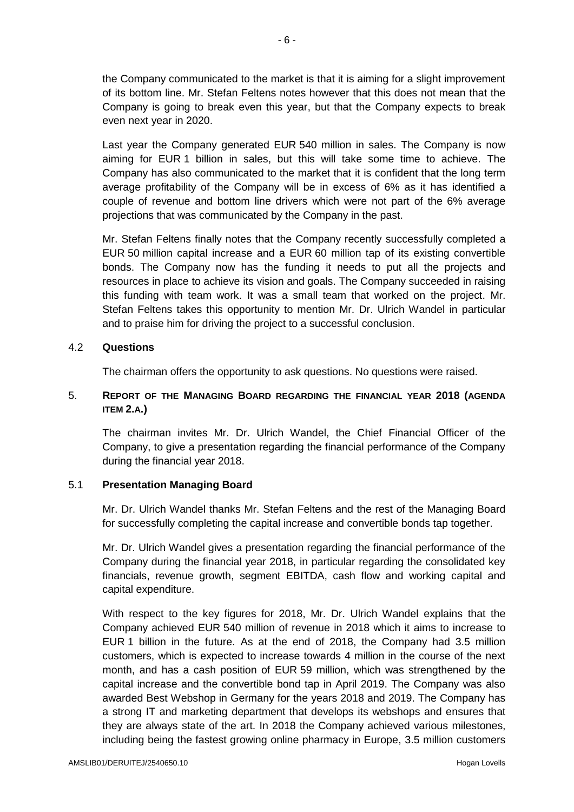the Company communicated to the market is that it is aiming for a slight improvement of its bottom line. Mr. Stefan Feltens notes however that this does not mean that the Company is going to break even this year, but that the Company expects to break even next year in 2020.

Last year the Company generated EUR 540 million in sales. The Company is now aiming for EUR 1 billion in sales, but this will take some time to achieve. The Company has also communicated to the market that it is confident that the long term average profitability of the Company will be in excess of 6% as it has identified a couple of revenue and bottom line drivers which were not part of the 6% average projections that was communicated by the Company in the past.

Mr. Stefan Feltens finally notes that the Company recently successfully completed a EUR 50 million capital increase and a EUR 60 million tap of its existing convertible bonds. The Company now has the funding it needs to put all the projects and resources in place to achieve its vision and goals. The Company succeeded in raising this funding with team work. It was a small team that worked on the project. Mr. Stefan Feltens takes this opportunity to mention Mr. Dr. Ulrich Wandel in particular and to praise him for driving the project to a successful conclusion.

## 4.2 **Questions**

The chairman offers the opportunity to ask questions. No questions were raised.

# 5. **REPORT OF THE MANAGING BOARD REGARDING THE FINANCIAL YEAR 2018 (AGENDA ITEM 2.A.)**

The chairman invites Mr. Dr. Ulrich Wandel, the Chief Financial Officer of the Company, to give a presentation regarding the financial performance of the Company during the financial year 2018.

## 5.1 **Presentation Managing Board**

Mr. Dr. Ulrich Wandel thanks Mr. Stefan Feltens and the rest of the Managing Board for successfully completing the capital increase and convertible bonds tap together.

Mr. Dr. Ulrich Wandel gives a presentation regarding the financial performance of the Company during the financial year 2018, in particular regarding the consolidated key financials, revenue growth, segment EBITDA, cash flow and working capital and capital expenditure.

With respect to the key figures for 2018, Mr. Dr. Ulrich Wandel explains that the Company achieved EUR 540 million of revenue in 2018 which it aims to increase to EUR 1 billion in the future. As at the end of 2018, the Company had 3.5 million customers, which is expected to increase towards 4 million in the course of the next month, and has a cash position of EUR 59 million, which was strengthened by the capital increase and the convertible bond tap in April 2019. The Company was also awarded Best Webshop in Germany for the years 2018 and 2019. The Company has a strong IT and marketing department that develops its webshops and ensures that they are always state of the art. In 2018 the Company achieved various milestones, including being the fastest growing online pharmacy in Europe, 3.5 million customers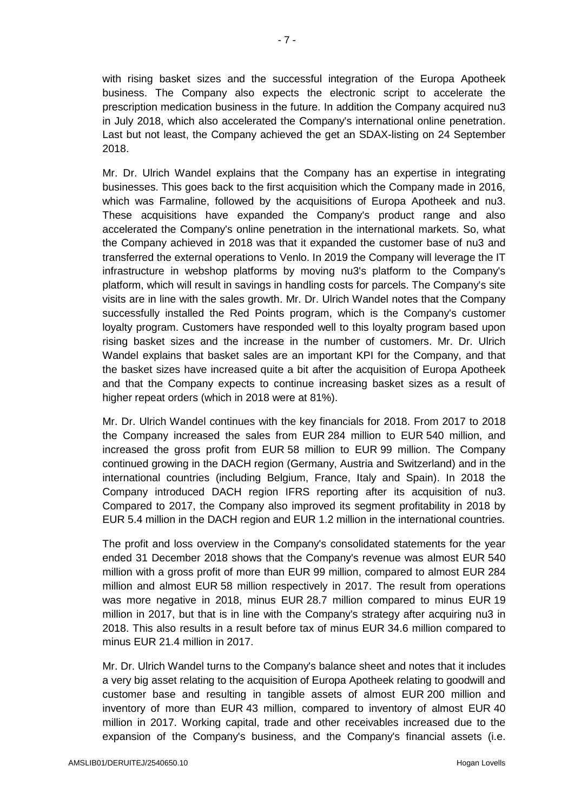with rising basket sizes and the successful integration of the Europa Apotheek business. The Company also expects the electronic script to accelerate the prescription medication business in the future. In addition the Company acquired nu3 in July 2018, which also accelerated the Company's international online penetration. Last but not least, the Company achieved the get an SDAX-listing on 24 September 2018.

Mr. Dr. Ulrich Wandel explains that the Company has an expertise in integrating businesses. This goes back to the first acquisition which the Company made in 2016, which was Farmaline, followed by the acquisitions of Europa Apotheek and nu3. These acquisitions have expanded the Company's product range and also accelerated the Company's online penetration in the international markets. So, what the Company achieved in 2018 was that it expanded the customer base of nu3 and transferred the external operations to Venlo. In 2019 the Company will leverage the IT infrastructure in webshop platforms by moving nu3's platform to the Company's platform, which will result in savings in handling costs for parcels. The Company's site visits are in line with the sales growth. Mr. Dr. Ulrich Wandel notes that the Company successfully installed the Red Points program, which is the Company's customer loyalty program. Customers have responded well to this loyalty program based upon rising basket sizes and the increase in the number of customers. Mr. Dr. Ulrich Wandel explains that basket sales are an important KPI for the Company, and that the basket sizes have increased quite a bit after the acquisition of Europa Apotheek and that the Company expects to continue increasing basket sizes as a result of higher repeat orders (which in 2018 were at 81%).

Mr. Dr. Ulrich Wandel continues with the key financials for 2018. From 2017 to 2018 the Company increased the sales from EUR 284 million to EUR 540 million, and increased the gross profit from EUR 58 million to EUR 99 million. The Company continued growing in the DACH region (Germany, Austria and Switzerland) and in the international countries (including Belgium, France, Italy and Spain). In 2018 the Company introduced DACH region IFRS reporting after its acquisition of nu3. Compared to 2017, the Company also improved its segment profitability in 2018 by EUR 5.4 million in the DACH region and EUR 1.2 million in the international countries.

The profit and loss overview in the Company's consolidated statements for the year ended 31 December 2018 shows that the Company's revenue was almost EUR 540 million with a gross profit of more than EUR 99 million, compared to almost EUR 284 million and almost EUR 58 million respectively in 2017. The result from operations was more negative in 2018, minus EUR 28.7 million compared to minus EUR 19 million in 2017, but that is in line with the Company's strategy after acquiring nu3 in 2018. This also results in a result before tax of minus EUR 34.6 million compared to minus EUR 21.4 million in 2017.

Mr. Dr. Ulrich Wandel turns to the Company's balance sheet and notes that it includes a very big asset relating to the acquisition of Europa Apotheek relating to goodwill and customer base and resulting in tangible assets of almost EUR 200 million and inventory of more than EUR 43 million, compared to inventory of almost EUR 40 million in 2017. Working capital, trade and other receivables increased due to the expansion of the Company's business, and the Company's financial assets (i.e.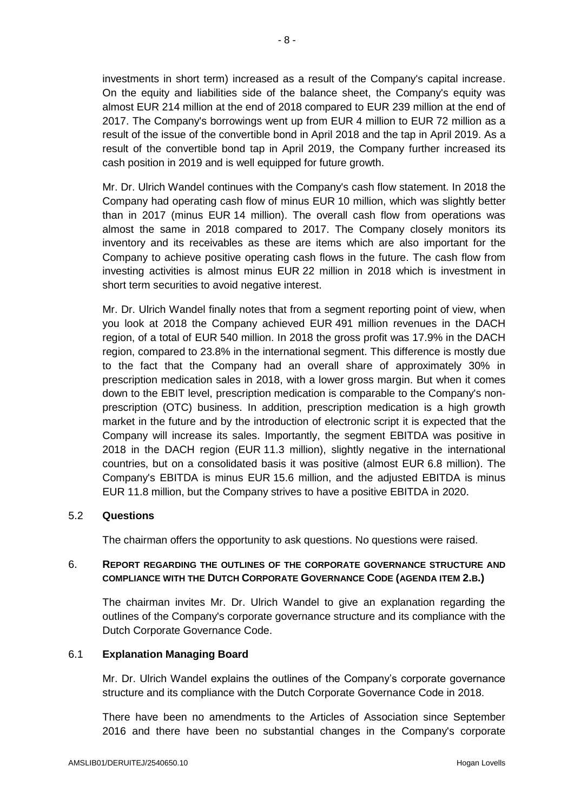investments in short term) increased as a result of the Company's capital increase. On the equity and liabilities side of the balance sheet, the Company's equity was almost EUR 214 million at the end of 2018 compared to EUR 239 million at the end of 2017. The Company's borrowings went up from EUR 4 million to EUR 72 million as a result of the issue of the convertible bond in April 2018 and the tap in April 2019. As a result of the convertible bond tap in April 2019, the Company further increased its cash position in 2019 and is well equipped for future growth.

Mr. Dr. Ulrich Wandel continues with the Company's cash flow statement. In 2018 the Company had operating cash flow of minus EUR 10 million, which was slightly better than in 2017 (minus EUR 14 million). The overall cash flow from operations was almost the same in 2018 compared to 2017. The Company closely monitors its inventory and its receivables as these are items which are also important for the Company to achieve positive operating cash flows in the future. The cash flow from investing activities is almost minus EUR 22 million in 2018 which is investment in short term securities to avoid negative interest.

Mr. Dr. Ulrich Wandel finally notes that from a segment reporting point of view, when you look at 2018 the Company achieved EUR 491 million revenues in the DACH region, of a total of EUR 540 million. In 2018 the gross profit was 17.9% in the DACH region, compared to 23.8% in the international segment. This difference is mostly due to the fact that the Company had an overall share of approximately 30% in prescription medication sales in 2018, with a lower gross margin. But when it comes down to the EBIT level, prescription medication is comparable to the Company's nonprescription (OTC) business. In addition, prescription medication is a high growth market in the future and by the introduction of electronic script it is expected that the Company will increase its sales. Importantly, the segment EBITDA was positive in 2018 in the DACH region (EUR 11.3 million), slightly negative in the international countries, but on a consolidated basis it was positive (almost EUR 6.8 million). The Company's EBITDA is minus EUR 15.6 million, and the adjusted EBITDA is minus EUR 11.8 million, but the Company strives to have a positive EBITDA in 2020.

## 5.2 **Questions**

The chairman offers the opportunity to ask questions. No questions were raised.

## 6. **REPORT REGARDING THE OUTLINES OF THE CORPORATE GOVERNANCE STRUCTURE AND COMPLIANCE WITH THE DUTCH CORPORATE GOVERNANCE CODE (AGENDA ITEM 2.B.)**

The chairman invites Mr. Dr. Ulrich Wandel to give an explanation regarding the outlines of the Company's corporate governance structure and its compliance with the Dutch Corporate Governance Code.

#### 6.1 **Explanation Managing Board**

Mr. Dr. Ulrich Wandel explains the outlines of the Company's corporate governance structure and its compliance with the Dutch Corporate Governance Code in 2018.

There have been no amendments to the Articles of Association since September 2016 and there have been no substantial changes in the Company's corporate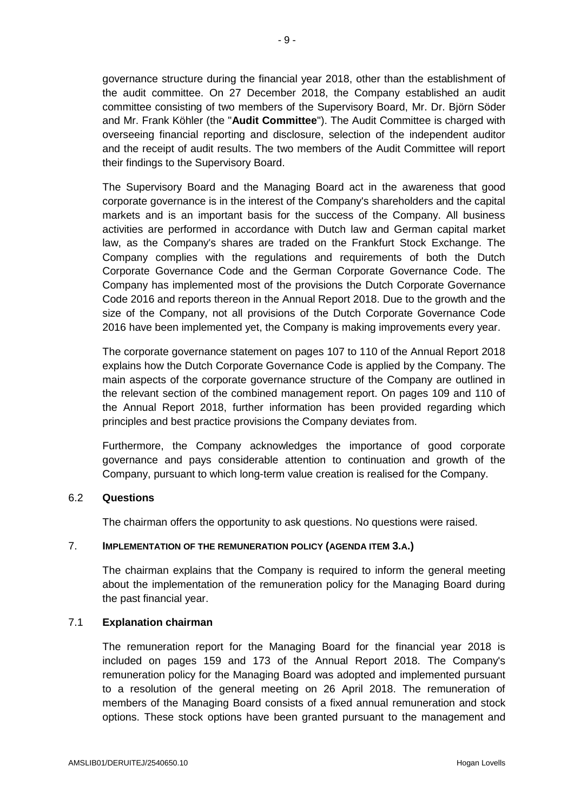governance structure during the financial year 2018, other than the establishment of the audit committee. On 27 December 2018, the Company established an audit committee consisting of two members of the Supervisory Board, Mr. Dr. Björn Söder and Mr. Frank Köhler (the "**Audit Committee**"). The Audit Committee is charged with overseeing financial reporting and disclosure, selection of the independent auditor and the receipt of audit results. The two members of the Audit Committee will report their findings to the Supervisory Board.

The Supervisory Board and the Managing Board act in the awareness that good corporate governance is in the interest of the Company's shareholders and the capital markets and is an important basis for the success of the Company. All business activities are performed in accordance with Dutch law and German capital market law, as the Company's shares are traded on the Frankfurt Stock Exchange. The Company complies with the regulations and requirements of both the Dutch Corporate Governance Code and the German Corporate Governance Code. The Company has implemented most of the provisions the Dutch Corporate Governance Code 2016 and reports thereon in the Annual Report 2018. Due to the growth and the size of the Company, not all provisions of the Dutch Corporate Governance Code 2016 have been implemented yet, the Company is making improvements every year.

The corporate governance statement on pages 107 to 110 of the Annual Report 2018 explains how the Dutch Corporate Governance Code is applied by the Company. The main aspects of the corporate governance structure of the Company are outlined in the relevant section of the combined management report. On pages 109 and 110 of the Annual Report 2018, further information has been provided regarding which principles and best practice provisions the Company deviates from.

Furthermore, the Company acknowledges the importance of good corporate governance and pays considerable attention to continuation and growth of the Company, pursuant to which long-term value creation is realised for the Company.

## 6.2 **Questions**

The chairman offers the opportunity to ask questions. No questions were raised.

## 7. **IMPLEMENTATION OF THE REMUNERATION POLICY (AGENDA ITEM 3.A.)**

The chairman explains that the Company is required to inform the general meeting about the implementation of the remuneration policy for the Managing Board during the past financial year.

## 7.1 **Explanation chairman**

The remuneration report for the Managing Board for the financial year 2018 is included on pages 159 and 173 of the Annual Report 2018. The Company's remuneration policy for the Managing Board was adopted and implemented pursuant to a resolution of the general meeting on 26 April 2018. The remuneration of members of the Managing Board consists of a fixed annual remuneration and stock options. These stock options have been granted pursuant to the management and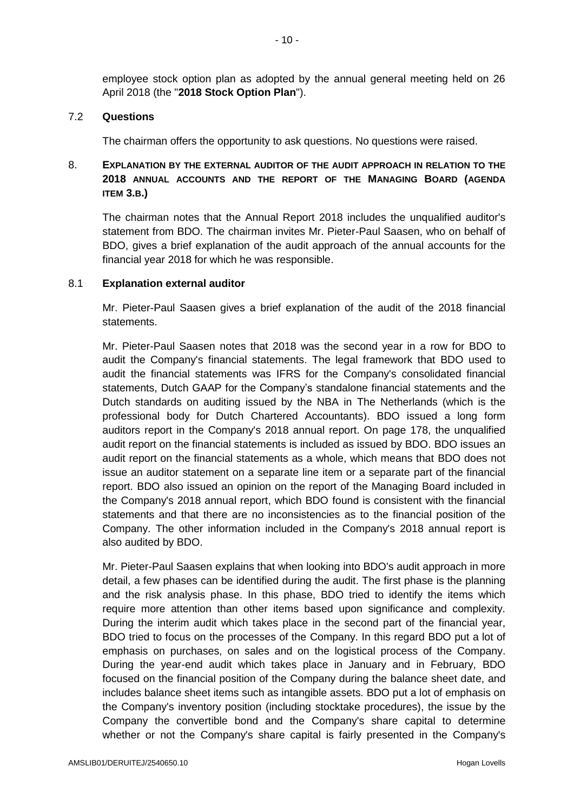employee stock option plan as adopted by the annual general meeting held on 26 April 2018 (the "**2018 Stock Option Plan**").

### 7.2 **Questions**

The chairman offers the opportunity to ask questions. No questions were raised.

# 8. **EXPLANATION BY THE EXTERNAL AUDITOR OF THE AUDIT APPROACH IN RELATION TO THE 2018 ANNUAL ACCOUNTS AND THE REPORT OF THE MANAGING BOARD (AGENDA ITEM 3.B.)**

The chairman notes that the Annual Report 2018 includes the unqualified auditor's statement from BDO. The chairman invites Mr. Pieter-Paul Saasen, who on behalf of BDO, gives a brief explanation of the audit approach of the annual accounts for the financial year 2018 for which he was responsible.

### 8.1 **Explanation external auditor**

Mr. Pieter-Paul Saasen gives a brief explanation of the audit of the 2018 financial statements.

Mr. Pieter-Paul Saasen notes that 2018 was the second year in a row for BDO to audit the Company's financial statements. The legal framework that BDO used to audit the financial statements was IFRS for the Company's consolidated financial statements, Dutch GAAP for the Company's standalone financial statements and the Dutch standards on auditing issued by the NBA in The Netherlands (which is the professional body for Dutch Chartered Accountants). BDO issued a long form auditors report in the Company's 2018 annual report. On page 178, the unqualified audit report on the financial statements is included as issued by BDO. BDO issues an audit report on the financial statements as a whole, which means that BDO does not issue an auditor statement on a separate line item or a separate part of the financial report. BDO also issued an opinion on the report of the Managing Board included in the Company's 2018 annual report, which BDO found is consistent with the financial statements and that there are no inconsistencies as to the financial position of the Company. The other information included in the Company's 2018 annual report is also audited by BDO.

Mr. Pieter-Paul Saasen explains that when looking into BDO's audit approach in more detail, a few phases can be identified during the audit. The first phase is the planning and the risk analysis phase. In this phase, BDO tried to identify the items which require more attention than other items based upon significance and complexity. During the interim audit which takes place in the second part of the financial year, BDO tried to focus on the processes of the Company. In this regard BDO put a lot of emphasis on purchases, on sales and on the logistical process of the Company. During the year-end audit which takes place in January and in February, BDO focused on the financial position of the Company during the balance sheet date, and includes balance sheet items such as intangible assets. BDO put a lot of emphasis on the Company's inventory position (including stocktake procedures), the issue by the Company the convertible bond and the Company's share capital to determine whether or not the Company's share capital is fairly presented in the Company's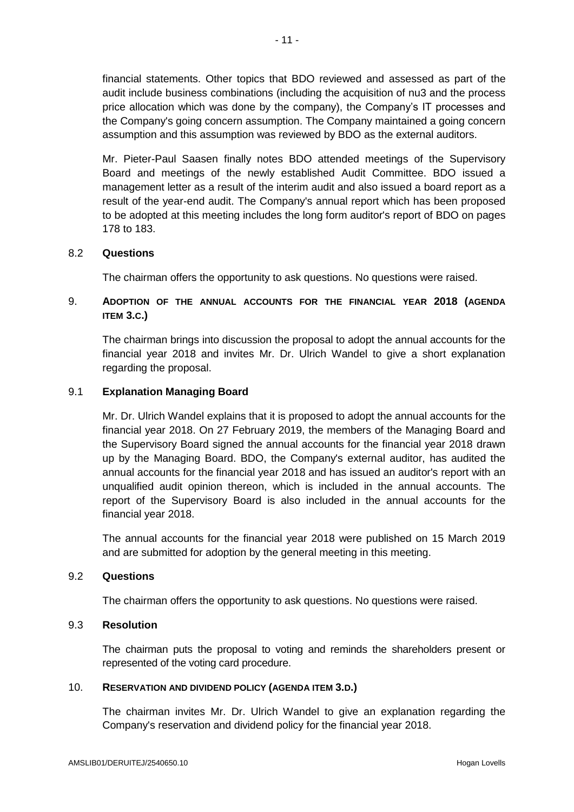financial statements. Other topics that BDO reviewed and assessed as part of the audit include business combinations (including the acquisition of nu3 and the process price allocation which was done by the company), the Company's IT processes and the Company's going concern assumption. The Company maintained a going concern assumption and this assumption was reviewed by BDO as the external auditors.

Mr. Pieter-Paul Saasen finally notes BDO attended meetings of the Supervisory Board and meetings of the newly established Audit Committee. BDO issued a management letter as a result of the interim audit and also issued a board report as a result of the year-end audit. The Company's annual report which has been proposed to be adopted at this meeting includes the long form auditor's report of BDO on pages 178 to 183.

## 8.2 **Questions**

The chairman offers the opportunity to ask questions. No questions were raised.

# 9. **ADOPTION OF THE ANNUAL ACCOUNTS FOR THE FINANCIAL YEAR 2018 (AGENDA ITEM 3.C.)**

The chairman brings into discussion the proposal to adopt the annual accounts for the financial year 2018 and invites Mr. Dr. Ulrich Wandel to give a short explanation regarding the proposal.

### 9.1 **Explanation Managing Board**

Mr. Dr. Ulrich Wandel explains that it is proposed to adopt the annual accounts for the financial year 2018. On 27 February 2019, the members of the Managing Board and the Supervisory Board signed the annual accounts for the financial year 2018 drawn up by the Managing Board. BDO, the Company's external auditor, has audited the annual accounts for the financial year 2018 and has issued an auditor's report with an unqualified audit opinion thereon, which is included in the annual accounts. The report of the Supervisory Board is also included in the annual accounts for the financial year 2018.

The annual accounts for the financial year 2018 were published on 15 March 2019 and are submitted for adoption by the general meeting in this meeting.

### 9.2 **Questions**

The chairman offers the opportunity to ask questions. No questions were raised.

#### 9.3 **Resolution**

The chairman puts the proposal to voting and reminds the shareholders present or represented of the voting card procedure.

#### 10. **RESERVATION AND DIVIDEND POLICY (AGENDA ITEM 3.D.)**

The chairman invites Mr. Dr. Ulrich Wandel to give an explanation regarding the Company's reservation and dividend policy for the financial year 2018.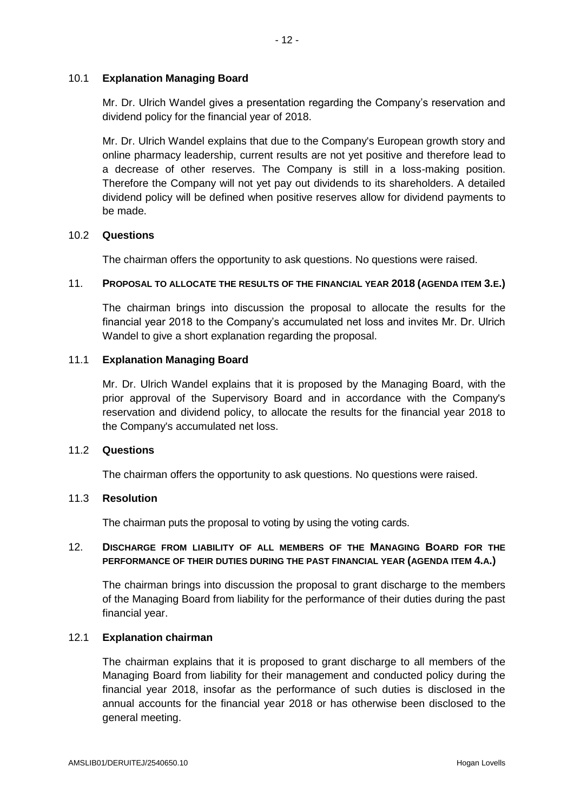## 10.1 **Explanation Managing Board**

Mr. Dr. Ulrich Wandel gives a presentation regarding the Company's reservation and dividend policy for the financial year of 2018.

Mr. Dr. Ulrich Wandel explains that due to the Company's European growth story and online pharmacy leadership, current results are not yet positive and therefore lead to a decrease of other reserves. The Company is still in a loss-making position. Therefore the Company will not yet pay out dividends to its shareholders. A detailed dividend policy will be defined when positive reserves allow for dividend payments to be made.

### 10.2 **Questions**

The chairman offers the opportunity to ask questions. No questions were raised.

#### 11. **PROPOSAL TO ALLOCATE THE RESULTS OF THE FINANCIAL YEAR 2018 (AGENDA ITEM 3.E.)**

The chairman brings into discussion the proposal to allocate the results for the financial year 2018 to the Company's accumulated net loss and invites Mr. Dr. Ulrich Wandel to give a short explanation regarding the proposal.

#### 11.1 **Explanation Managing Board**

Mr. Dr. Ulrich Wandel explains that it is proposed by the Managing Board, with the prior approval of the Supervisory Board and in accordance with the Company's reservation and dividend policy, to allocate the results for the financial year 2018 to the Company's accumulated net loss.

## 11.2 **Questions**

The chairman offers the opportunity to ask questions. No questions were raised.

#### 11.3 **Resolution**

The chairman puts the proposal to voting by using the voting cards.

## 12. **DISCHARGE FROM LIABILITY OF ALL MEMBERS OF THE MANAGING BOARD FOR THE PERFORMANCE OF THEIR DUTIES DURING THE PAST FINANCIAL YEAR (AGENDA ITEM 4.A.)**

The chairman brings into discussion the proposal to grant discharge to the members of the Managing Board from liability for the performance of their duties during the past financial year.

#### 12.1 **Explanation chairman**

The chairman explains that it is proposed to grant discharge to all members of the Managing Board from liability for their management and conducted policy during the financial year 2018, insofar as the performance of such duties is disclosed in the annual accounts for the financial year 2018 or has otherwise been disclosed to the general meeting.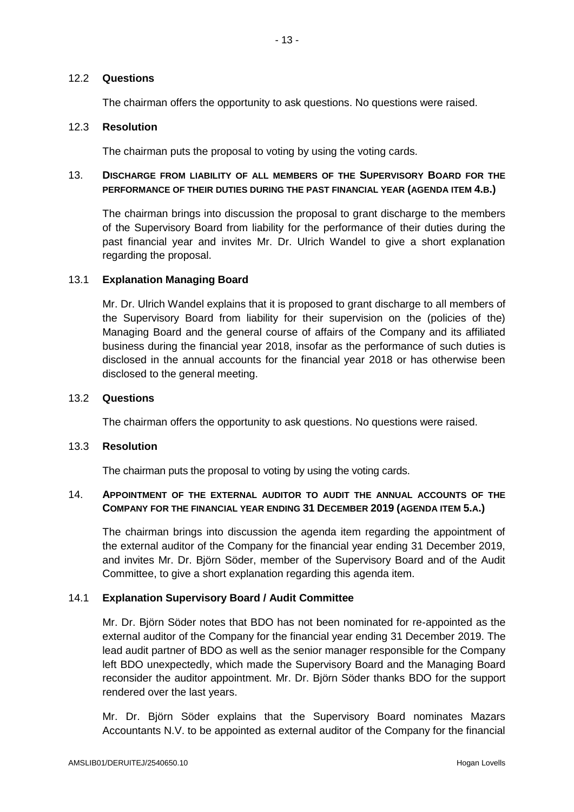## 12.2 **Questions**

The chairman offers the opportunity to ask questions. No questions were raised.

## 12.3 **Resolution**

The chairman puts the proposal to voting by using the voting cards.

# 13. **DISCHARGE FROM LIABILITY OF ALL MEMBERS OF THE SUPERVISORY BOARD FOR THE PERFORMANCE OF THEIR DUTIES DURING THE PAST FINANCIAL YEAR (AGENDA ITEM 4.B.)**

The chairman brings into discussion the proposal to grant discharge to the members of the Supervisory Board from liability for the performance of their duties during the past financial year and invites Mr. Dr. Ulrich Wandel to give a short explanation regarding the proposal.

## 13.1 **Explanation Managing Board**

Mr. Dr. Ulrich Wandel explains that it is proposed to grant discharge to all members of the Supervisory Board from liability for their supervision on the (policies of the) Managing Board and the general course of affairs of the Company and its affiliated business during the financial year 2018, insofar as the performance of such duties is disclosed in the annual accounts for the financial year 2018 or has otherwise been disclosed to the general meeting.

### 13.2 **Questions**

The chairman offers the opportunity to ask questions. No questions were raised.

#### 13.3 **Resolution**

The chairman puts the proposal to voting by using the voting cards.

## 14. **APPOINTMENT OF THE EXTERNAL AUDITOR TO AUDIT THE ANNUAL ACCOUNTS OF THE COMPANY FOR THE FINANCIAL YEAR ENDING 31 DECEMBER 2019 (AGENDA ITEM 5.A.)**

The chairman brings into discussion the agenda item regarding the appointment of the external auditor of the Company for the financial year ending 31 December 2019, and invites Mr. Dr. Björn Söder, member of the Supervisory Board and of the Audit Committee, to give a short explanation regarding this agenda item.

## 14.1 **Explanation Supervisory Board / Audit Committee**

Mr. Dr. Björn Söder notes that BDO has not been nominated for re-appointed as the external auditor of the Company for the financial year ending 31 December 2019. The lead audit partner of BDO as well as the senior manager responsible for the Company left BDO unexpectedly, which made the Supervisory Board and the Managing Board reconsider the auditor appointment. Mr. Dr. Björn Söder thanks BDO for the support rendered over the last years.

Mr. Dr. Björn Söder explains that the Supervisory Board nominates Mazars Accountants N.V. to be appointed as external auditor of the Company for the financial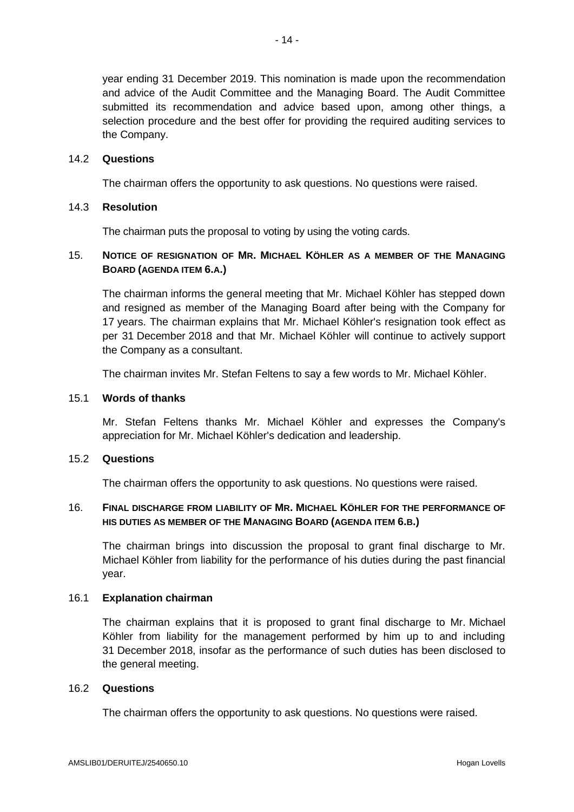year ending 31 December 2019. This nomination is made upon the recommendation and advice of the Audit Committee and the Managing Board. The Audit Committee submitted its recommendation and advice based upon, among other things, a selection procedure and the best offer for providing the required auditing services to the Company.

## 14.2 **Questions**

The chairman offers the opportunity to ask questions. No questions were raised.

### 14.3 **Resolution**

The chairman puts the proposal to voting by using the voting cards.

## 15. **NOTICE OF RESIGNATION OF MR. MICHAEL KÖHLER AS A MEMBER OF THE MANAGING BOARD (AGENDA ITEM 6.A.)**

The chairman informs the general meeting that Mr. Michael Köhler has stepped down and resigned as member of the Managing Board after being with the Company for 17 years. The chairman explains that Mr. Michael Köhler's resignation took effect as per 31 December 2018 and that Mr. Michael Köhler will continue to actively support the Company as a consultant.

The chairman invites Mr. Stefan Feltens to say a few words to Mr. Michael Köhler.

### 15.1 **Words of thanks**

Mr. Stefan Feltens thanks Mr. Michael Köhler and expresses the Company's appreciation for Mr. Michael Köhler's dedication and leadership.

## 15.2 **Questions**

The chairman offers the opportunity to ask questions. No questions were raised.

## 16. **FINAL DISCHARGE FROM LIABILITY OF MR. MICHAEL KÖHLER FOR THE PERFORMANCE OF HIS DUTIES AS MEMBER OF THE MANAGING BOARD (AGENDA ITEM 6.B.)**

The chairman brings into discussion the proposal to grant final discharge to Mr. Michael Köhler from liability for the performance of his duties during the past financial year.

#### 16.1 **Explanation chairman**

The chairman explains that it is proposed to grant final discharge to Mr. Michael Köhler from liability for the management performed by him up to and including 31 December 2018, insofar as the performance of such duties has been disclosed to the general meeting.

#### 16.2 **Questions**

The chairman offers the opportunity to ask questions. No questions were raised.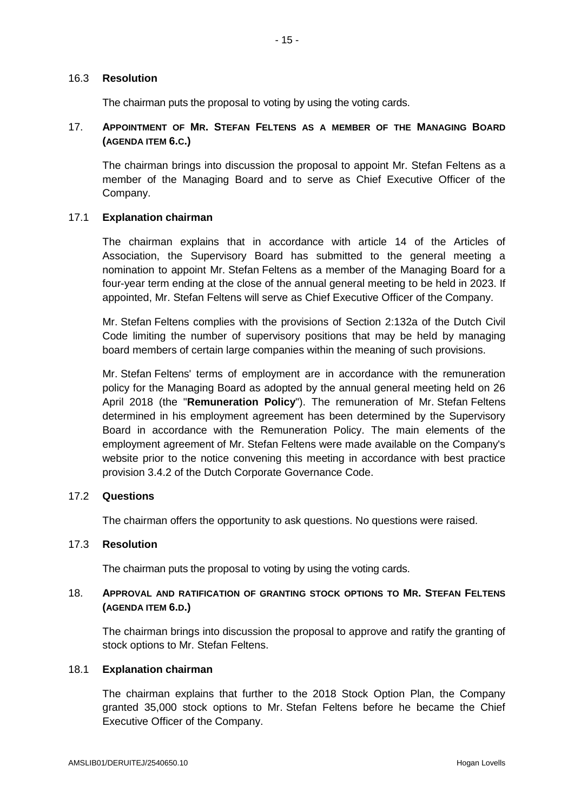## 16.3 **Resolution**

The chairman puts the proposal to voting by using the voting cards.

# 17. **APPOINTMENT OF MR. STEFAN FELTENS AS A MEMBER OF THE MANAGING BOARD (AGENDA ITEM 6.C.)**

The chairman brings into discussion the proposal to appoint Mr. Stefan Feltens as a member of the Managing Board and to serve as Chief Executive Officer of the Company.

## 17.1 **Explanation chairman**

The chairman explains that in accordance with article 14 of the Articles of Association, the Supervisory Board has submitted to the general meeting a nomination to appoint Mr. Stefan Feltens as a member of the Managing Board for a four-year term ending at the close of the annual general meeting to be held in 2023. If appointed, Mr. Stefan Feltens will serve as Chief Executive Officer of the Company.

Mr. Stefan Feltens complies with the provisions of Section 2:132a of the Dutch Civil Code limiting the number of supervisory positions that may be held by managing board members of certain large companies within the meaning of such provisions.

Mr. Stefan Feltens' terms of employment are in accordance with the remuneration policy for the Managing Board as adopted by the annual general meeting held on 26 April 2018 (the "**Remuneration Policy**"). The remuneration of Mr. Stefan Feltens determined in his employment agreement has been determined by the Supervisory Board in accordance with the Remuneration Policy. The main elements of the employment agreement of Mr. Stefan Feltens were made available on the Company's website prior to the notice convening this meeting in accordance with best practice provision 3.4.2 of the Dutch Corporate Governance Code.

## 17.2 **Questions**

The chairman offers the opportunity to ask questions. No questions were raised.

## 17.3 **Resolution**

The chairman puts the proposal to voting by using the voting cards.

# 18. **APPROVAL AND RATIFICATION OF GRANTING STOCK OPTIONS TO MR. STEFAN FELTENS (AGENDA ITEM 6.D.)**

The chairman brings into discussion the proposal to approve and ratify the granting of stock options to Mr. Stefan Feltens.

# 18.1 **Explanation chairman**

The chairman explains that further to the 2018 Stock Option Plan, the Company granted 35,000 stock options to Mr. Stefan Feltens before he became the Chief Executive Officer of the Company.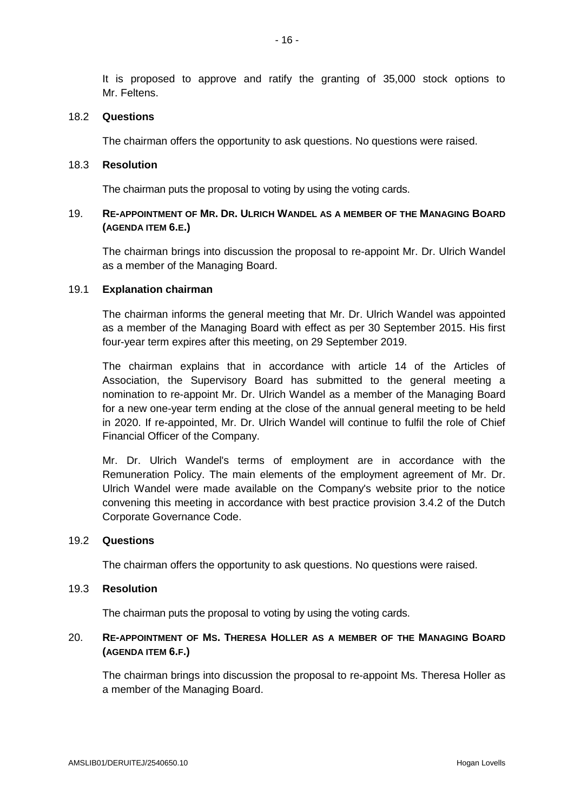It is proposed to approve and ratify the granting of 35,000 stock options to Mr. Feltens.

#### 18.2 **Questions**

The chairman offers the opportunity to ask questions. No questions were raised.

### 18.3 **Resolution**

The chairman puts the proposal to voting by using the voting cards.

## 19. **RE-APPOINTMENT OF MR. DR. ULRICH WANDEL AS A MEMBER OF THE MANAGING BOARD (AGENDA ITEM 6.E.)**

The chairman brings into discussion the proposal to re-appoint Mr. Dr. Ulrich Wandel as a member of the Managing Board.

#### 19.1 **Explanation chairman**

The chairman informs the general meeting that Mr. Dr. Ulrich Wandel was appointed as a member of the Managing Board with effect as per 30 September 2015. His first four-year term expires after this meeting, on 29 September 2019.

The chairman explains that in accordance with article 14 of the Articles of Association, the Supervisory Board has submitted to the general meeting a nomination to re-appoint Mr. Dr. Ulrich Wandel as a member of the Managing Board for a new one-year term ending at the close of the annual general meeting to be held in 2020. If re-appointed, Mr. Dr. Ulrich Wandel will continue to fulfil the role of Chief Financial Officer of the Company.

Mr. Dr. Ulrich Wandel's terms of employment are in accordance with the Remuneration Policy. The main elements of the employment agreement of Mr. Dr. Ulrich Wandel were made available on the Company's website prior to the notice convening this meeting in accordance with best practice provision 3.4.2 of the Dutch Corporate Governance Code.

## 19.2 **Questions**

The chairman offers the opportunity to ask questions. No questions were raised.

## 19.3 **Resolution**

The chairman puts the proposal to voting by using the voting cards.

## 20. **RE-APPOINTMENT OF MS. THERESA HOLLER AS A MEMBER OF THE MANAGING BOARD (AGENDA ITEM 6.F.)**

The chairman brings into discussion the proposal to re-appoint Ms. Theresa Holler as a member of the Managing Board.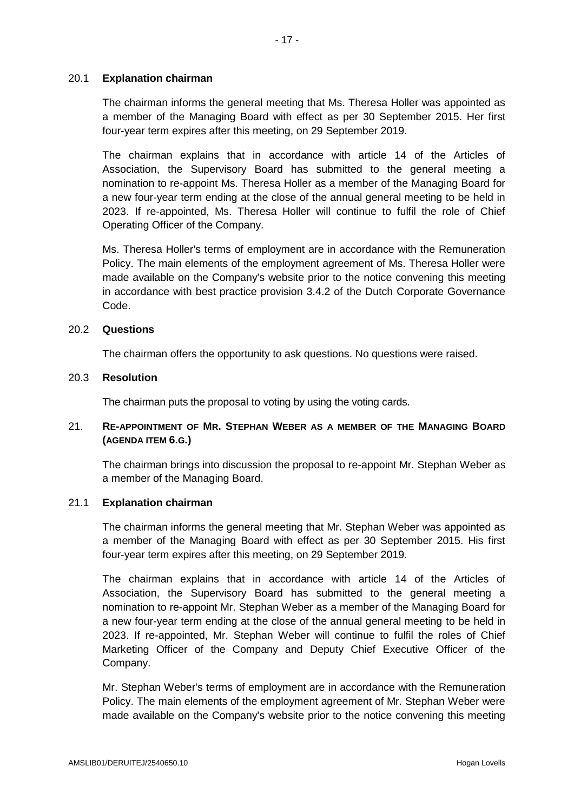### 20.1 **Explanation chairman**

The chairman informs the general meeting that Ms. Theresa Holler was appointed as a member of the Managing Board with effect as per 30 September 2015. Her first four-year term expires after this meeting, on 29 September 2019.

The chairman explains that in accordance with article 14 of the Articles of Association, the Supervisory Board has submitted to the general meeting a nomination to re-appoint Ms. Theresa Holler as a member of the Managing Board for a new four-year term ending at the close of the annual general meeting to be held in 2023. If re-appointed, Ms. Theresa Holler will continue to fulfil the role of Chief Operating Officer of the Company.

Ms. Theresa Holler's terms of employment are in accordance with the Remuneration Policy. The main elements of the employment agreement of Ms. Theresa Holler were made available on the Company's website prior to the notice convening this meeting in accordance with best practice provision 3.4.2 of the Dutch Corporate Governance Code.

#### 20.2 **Questions**

The chairman offers the opportunity to ask questions. No questions were raised.

### 20.3 **Resolution**

The chairman puts the proposal to voting by using the voting cards.

## 21. **RE-APPOINTMENT OF MR. STEPHAN WEBER AS A MEMBER OF THE MANAGING BOARD (AGENDA ITEM 6.G.)**

The chairman brings into discussion the proposal to re-appoint Mr. Stephan Weber as a member of the Managing Board.

### 21.1 **Explanation chairman**

The chairman informs the general meeting that Mr. Stephan Weber was appointed as a member of the Managing Board with effect as per 30 September 2015. His first four-year term expires after this meeting, on 29 September 2019.

The chairman explains that in accordance with article 14 of the Articles of Association, the Supervisory Board has submitted to the general meeting a nomination to re-appoint Mr. Stephan Weber as a member of the Managing Board for a new four-year term ending at the close of the annual general meeting to be held in 2023. If re-appointed, Mr. Stephan Weber will continue to fulfil the roles of Chief Marketing Officer of the Company and Deputy Chief Executive Officer of the Company.

Mr. Stephan Weber's terms of employment are in accordance with the Remuneration Policy. The main elements of the employment agreement of Mr. Stephan Weber were made available on the Company's website prior to the notice convening this meeting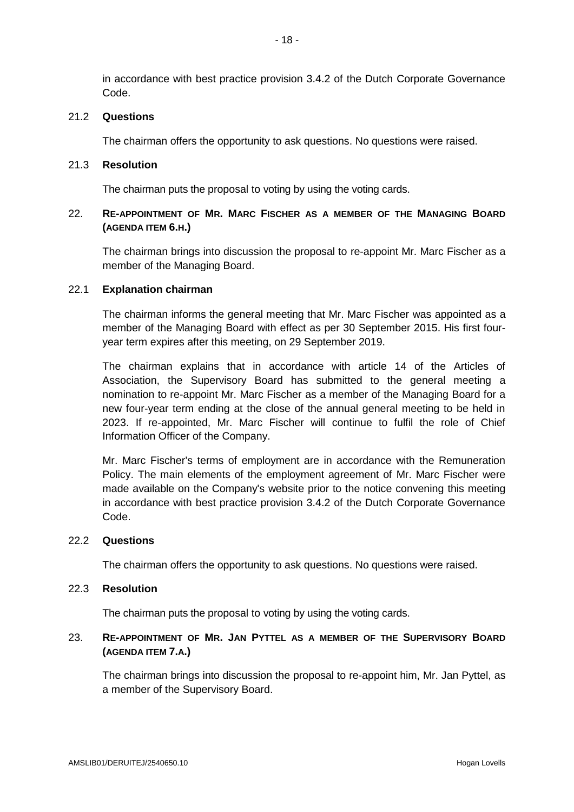in accordance with best practice provision 3.4.2 of the Dutch Corporate Governance Code.

### 21.2 **Questions**

The chairman offers the opportunity to ask questions. No questions were raised.

### 21.3 **Resolution**

The chairman puts the proposal to voting by using the voting cards.

## 22. **RE-APPOINTMENT OF MR. MARC FISCHER AS A MEMBER OF THE MANAGING BOARD (AGENDA ITEM 6.H.)**

The chairman brings into discussion the proposal to re-appoint Mr. Marc Fischer as a member of the Managing Board.

## 22.1 **Explanation chairman**

The chairman informs the general meeting that Mr. Marc Fischer was appointed as a member of the Managing Board with effect as per 30 September 2015. His first fouryear term expires after this meeting, on 29 September 2019.

The chairman explains that in accordance with article 14 of the Articles of Association, the Supervisory Board has submitted to the general meeting a nomination to re-appoint Mr. Marc Fischer as a member of the Managing Board for a new four-year term ending at the close of the annual general meeting to be held in 2023. If re-appointed, Mr. Marc Fischer will continue to fulfil the role of Chief Information Officer of the Company.

Mr. Marc Fischer's terms of employment are in accordance with the Remuneration Policy. The main elements of the employment agreement of Mr. Marc Fischer were made available on the Company's website prior to the notice convening this meeting in accordance with best practice provision 3.4.2 of the Dutch Corporate Governance Code.

#### 22.2 **Questions**

The chairman offers the opportunity to ask questions. No questions were raised.

## 22.3 **Resolution**

The chairman puts the proposal to voting by using the voting cards.

## 23. **RE-APPOINTMENT OF MR. JAN PYTTEL AS A MEMBER OF THE SUPERVISORY BOARD (AGENDA ITEM 7.A.)**

The chairman brings into discussion the proposal to re-appoint him, Mr. Jan Pyttel, as a member of the Supervisory Board.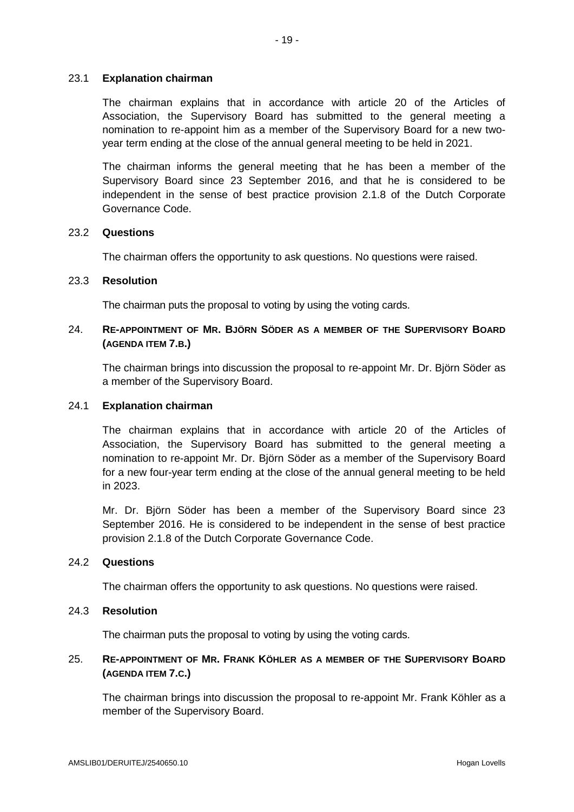### 23.1 **Explanation chairman**

The chairman explains that in accordance with article 20 of the Articles of Association, the Supervisory Board has submitted to the general meeting a nomination to re-appoint him as a member of the Supervisory Board for a new twoyear term ending at the close of the annual general meeting to be held in 2021.

The chairman informs the general meeting that he has been a member of the Supervisory Board since 23 September 2016, and that he is considered to be independent in the sense of best practice provision 2.1.8 of the Dutch Corporate Governance Code.

#### 23.2 **Questions**

The chairman offers the opportunity to ask questions. No questions were raised.

### 23.3 **Resolution**

The chairman puts the proposal to voting by using the voting cards.

## 24. **RE-APPOINTMENT OF MR. BJÖRN SÖDER AS A MEMBER OF THE SUPERVISORY BOARD (AGENDA ITEM 7.B.)**

The chairman brings into discussion the proposal to re-appoint Mr. Dr. Björn Söder as a member of the Supervisory Board.

## 24.1 **Explanation chairman**

The chairman explains that in accordance with article 20 of the Articles of Association, the Supervisory Board has submitted to the general meeting a nomination to re-appoint Mr. Dr. Björn Söder as a member of the Supervisory Board for a new four-year term ending at the close of the annual general meeting to be held in 2023.

Mr. Dr. Björn Söder has been a member of the Supervisory Board since 23 September 2016. He is considered to be independent in the sense of best practice provision 2.1.8 of the Dutch Corporate Governance Code.

#### 24.2 **Questions**

The chairman offers the opportunity to ask questions. No questions were raised.

# 24.3 **Resolution**

The chairman puts the proposal to voting by using the voting cards.

# 25. **RE-APPOINTMENT OF MR. FRANK KÖHLER AS A MEMBER OF THE SUPERVISORY BOARD (AGENDA ITEM 7.C.)**

The chairman brings into discussion the proposal to re-appoint Mr. Frank Köhler as a member of the Supervisory Board.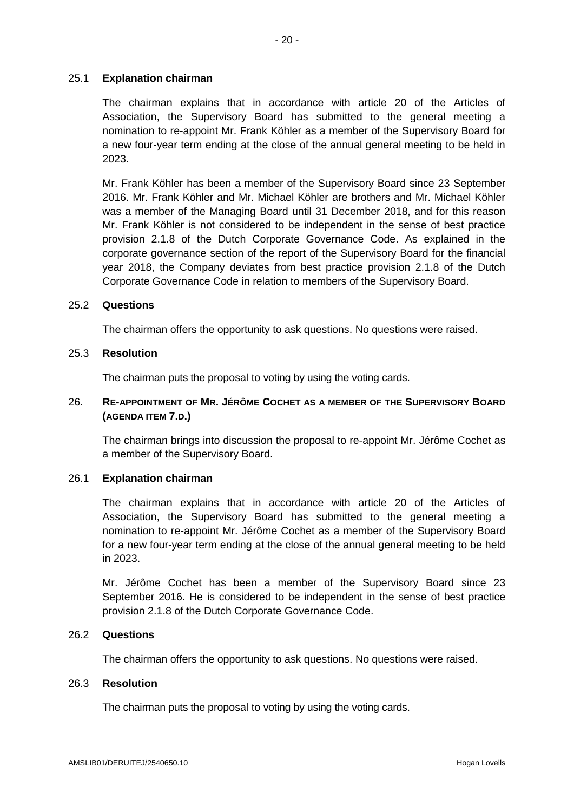### 25.1 **Explanation chairman**

The chairman explains that in accordance with article 20 of the Articles of Association, the Supervisory Board has submitted to the general meeting a nomination to re-appoint Mr. Frank Köhler as a member of the Supervisory Board for a new four-year term ending at the close of the annual general meeting to be held in 2023.

Mr. Frank Köhler has been a member of the Supervisory Board since 23 September 2016. Mr. Frank Köhler and Mr. Michael Köhler are brothers and Mr. Michael Köhler was a member of the Managing Board until 31 December 2018, and for this reason Mr. Frank Köhler is not considered to be independent in the sense of best practice provision 2.1.8 of the Dutch Corporate Governance Code. As explained in the corporate governance section of the report of the Supervisory Board for the financial year 2018, the Company deviates from best practice provision 2.1.8 of the Dutch Corporate Governance Code in relation to members of the Supervisory Board.

#### 25.2 **Questions**

The chairman offers the opportunity to ask questions. No questions were raised.

## 25.3 **Resolution**

The chairman puts the proposal to voting by using the voting cards.

## 26. **RE-APPOINTMENT OF MR. JÉRÔME COCHET AS A MEMBER OF THE SUPERVISORY BOARD (AGENDA ITEM 7.D.)**

The chairman brings into discussion the proposal to re-appoint Mr. Jérôme Cochet as a member of the Supervisory Board.

#### 26.1 **Explanation chairman**

The chairman explains that in accordance with article 20 of the Articles of Association, the Supervisory Board has submitted to the general meeting a nomination to re-appoint Mr. Jérôme Cochet as a member of the Supervisory Board for a new four-year term ending at the close of the annual general meeting to be held in 2023.

Mr. Jérôme Cochet has been a member of the Supervisory Board since 23 September 2016. He is considered to be independent in the sense of best practice provision 2.1.8 of the Dutch Corporate Governance Code.

#### 26.2 **Questions**

The chairman offers the opportunity to ask questions. No questions were raised.

## 26.3 **Resolution**

The chairman puts the proposal to voting by using the voting cards.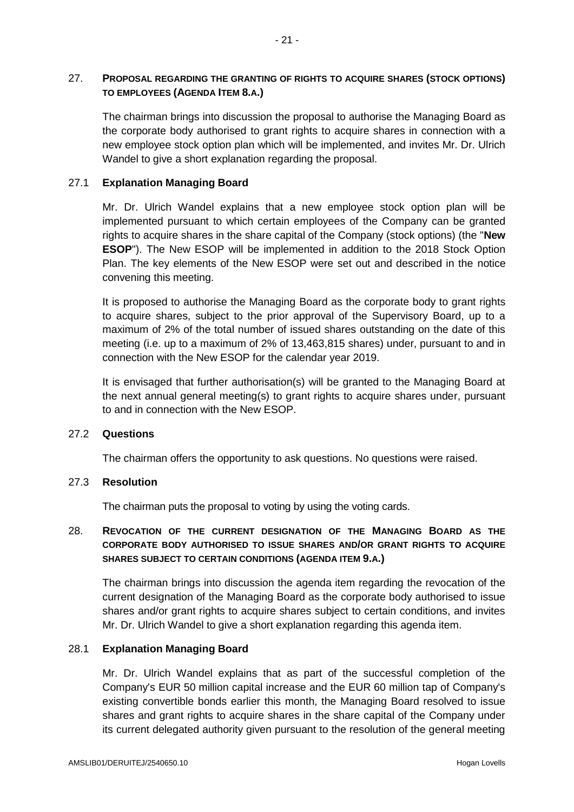# 27. **PROPOSAL REGARDING THE GRANTING OF RIGHTS TO ACQUIRE SHARES (STOCK OPTIONS) TO EMPLOYEES (AGENDA ITEM 8.A.)**

The chairman brings into discussion the proposal to authorise the Managing Board as the corporate body authorised to grant rights to acquire shares in connection with a new employee stock option plan which will be implemented, and invites Mr. Dr. Ulrich Wandel to give a short explanation regarding the proposal.

# 27.1 **Explanation Managing Board**

Mr. Dr. Ulrich Wandel explains that a new employee stock option plan will be implemented pursuant to which certain employees of the Company can be granted rights to acquire shares in the share capital of the Company (stock options) (the "**New ESOP**"). The New ESOP will be implemented in addition to the 2018 Stock Option Plan. The key elements of the New ESOP were set out and described in the notice convening this meeting.

It is proposed to authorise the Managing Board as the corporate body to grant rights to acquire shares, subject to the prior approval of the Supervisory Board, up to a maximum of 2% of the total number of issued shares outstanding on the date of this meeting (i.e. up to a maximum of 2% of 13,463,815 shares) under, pursuant to and in connection with the New ESOP for the calendar year 2019.

It is envisaged that further authorisation(s) will be granted to the Managing Board at the next annual general meeting(s) to grant rights to acquire shares under, pursuant to and in connection with the New ESOP.

## 27.2 **Questions**

The chairman offers the opportunity to ask questions. No questions were raised.

## 27.3 **Resolution**

The chairman puts the proposal to voting by using the voting cards.

# 28. **REVOCATION OF THE CURRENT DESIGNATION OF THE MANAGING BOARD AS THE CORPORATE BODY AUTHORISED TO ISSUE SHARES AND/OR GRANT RIGHTS TO ACQUIRE SHARES SUBJECT TO CERTAIN CONDITIONS (AGENDA ITEM 9.A.)**

The chairman brings into discussion the agenda item regarding the revocation of the current designation of the Managing Board as the corporate body authorised to issue shares and/or grant rights to acquire shares subject to certain conditions, and invites Mr. Dr. Ulrich Wandel to give a short explanation regarding this agenda item.

## 28.1 **Explanation Managing Board**

Mr. Dr. Ulrich Wandel explains that as part of the successful completion of the Company's EUR 50 million capital increase and the EUR 60 million tap of Company's existing convertible bonds earlier this month, the Managing Board resolved to issue shares and grant rights to acquire shares in the share capital of the Company under its current delegated authority given pursuant to the resolution of the general meeting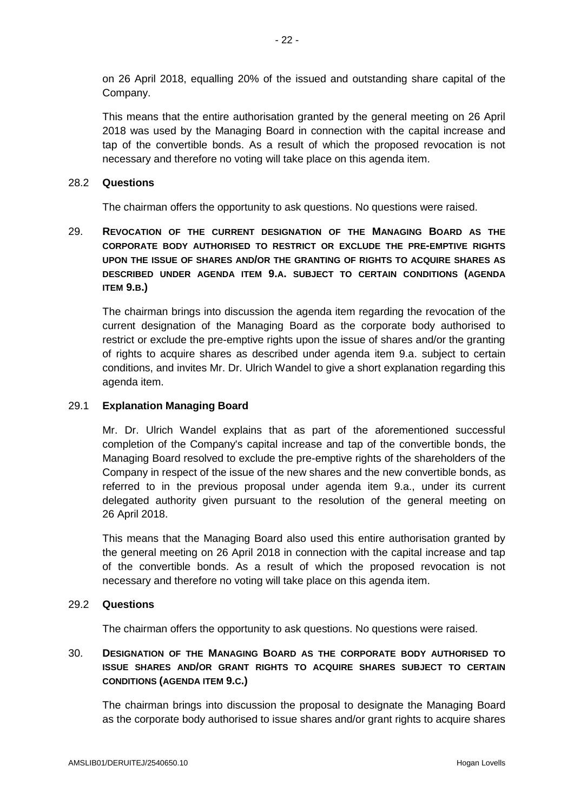on 26 April 2018, equalling 20% of the issued and outstanding share capital of the Company.

This means that the entire authorisation granted by the general meeting on 26 April 2018 was used by the Managing Board in connection with the capital increase and tap of the convertible bonds. As a result of which the proposed revocation is not necessary and therefore no voting will take place on this agenda item.

#### 28.2 **Questions**

The chairman offers the opportunity to ask questions. No questions were raised.

29. **REVOCATION OF THE CURRENT DESIGNATION OF THE MANAGING BOARD AS THE CORPORATE BODY AUTHORISED TO RESTRICT OR EXCLUDE THE PRE-EMPTIVE RIGHTS UPON THE ISSUE OF SHARES AND/OR THE GRANTING OF RIGHTS TO ACQUIRE SHARES AS DESCRIBED UNDER AGENDA ITEM 9.A. SUBJECT TO CERTAIN CONDITIONS (AGENDA ITEM 9.B.)**

The chairman brings into discussion the agenda item regarding the revocation of the current designation of the Managing Board as the corporate body authorised to restrict or exclude the pre-emptive rights upon the issue of shares and/or the granting of rights to acquire shares as described under agenda item 9.a. subject to certain conditions, and invites Mr. Dr. Ulrich Wandel to give a short explanation regarding this agenda item.

### 29.1 **Explanation Managing Board**

Mr. Dr. Ulrich Wandel explains that as part of the aforementioned successful completion of the Company's capital increase and tap of the convertible bonds, the Managing Board resolved to exclude the pre-emptive rights of the shareholders of the Company in respect of the issue of the new shares and the new convertible bonds, as referred to in the previous proposal under agenda item 9.a., under its current delegated authority given pursuant to the resolution of the general meeting on 26 April 2018.

This means that the Managing Board also used this entire authorisation granted by the general meeting on 26 April 2018 in connection with the capital increase and tap of the convertible bonds. As a result of which the proposed revocation is not necessary and therefore no voting will take place on this agenda item.

#### 29.2 **Questions**

The chairman offers the opportunity to ask questions. No questions were raised.

# 30. **DESIGNATION OF THE MANAGING BOARD AS THE CORPORATE BODY AUTHORISED TO ISSUE SHARES AND/OR GRANT RIGHTS TO ACQUIRE SHARES SUBJECT TO CERTAIN CONDITIONS (AGENDA ITEM 9.C.)**

The chairman brings into discussion the proposal to designate the Managing Board as the corporate body authorised to issue shares and/or grant rights to acquire shares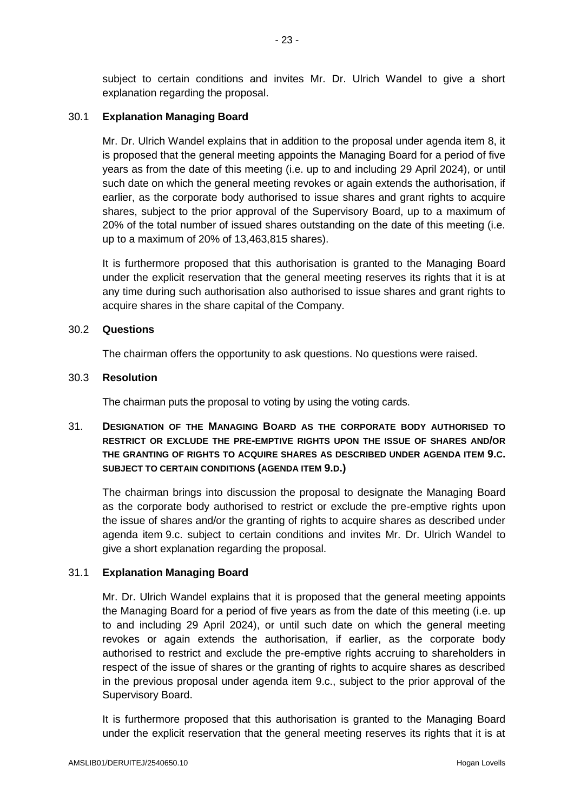subject to certain conditions and invites Mr. Dr. Ulrich Wandel to give a short explanation regarding the proposal.

### 30.1 **Explanation Managing Board**

Mr. Dr. Ulrich Wandel explains that in addition to the proposal under agenda item 8, it is proposed that the general meeting appoints the Managing Board for a period of five years as from the date of this meeting (i.e. up to and including 29 April 2024), or until such date on which the general meeting revokes or again extends the authorisation, if earlier, as the corporate body authorised to issue shares and grant rights to acquire shares, subject to the prior approval of the Supervisory Board, up to a maximum of 20% of the total number of issued shares outstanding on the date of this meeting (i.e. up to a maximum of 20% of 13,463,815 shares).

It is furthermore proposed that this authorisation is granted to the Managing Board under the explicit reservation that the general meeting reserves its rights that it is at any time during such authorisation also authorised to issue shares and grant rights to acquire shares in the share capital of the Company.

#### 30.2 **Questions**

The chairman offers the opportunity to ask questions. No questions were raised.

### 30.3 **Resolution**

The chairman puts the proposal to voting by using the voting cards.

# 31. **DESIGNATION OF THE MANAGING BOARD AS THE CORPORATE BODY AUTHORISED TO RESTRICT OR EXCLUDE THE PRE-EMPTIVE RIGHTS UPON THE ISSUE OF SHARES AND/OR THE GRANTING OF RIGHTS TO ACQUIRE SHARES AS DESCRIBED UNDER AGENDA ITEM 9.C. SUBJECT TO CERTAIN CONDITIONS (AGENDA ITEM 9.D.)**

The chairman brings into discussion the proposal to designate the Managing Board as the corporate body authorised to restrict or exclude the pre-emptive rights upon the issue of shares and/or the granting of rights to acquire shares as described under agenda item 9.c. subject to certain conditions and invites Mr. Dr. Ulrich Wandel to give a short explanation regarding the proposal.

## 31.1 **Explanation Managing Board**

Mr. Dr. Ulrich Wandel explains that it is proposed that the general meeting appoints the Managing Board for a period of five years as from the date of this meeting (i.e. up to and including 29 April 2024), or until such date on which the general meeting revokes or again extends the authorisation, if earlier, as the corporate body authorised to restrict and exclude the pre-emptive rights accruing to shareholders in respect of the issue of shares or the granting of rights to acquire shares as described in the previous proposal under agenda item 9.c., subject to the prior approval of the Supervisory Board.

It is furthermore proposed that this authorisation is granted to the Managing Board under the explicit reservation that the general meeting reserves its rights that it is at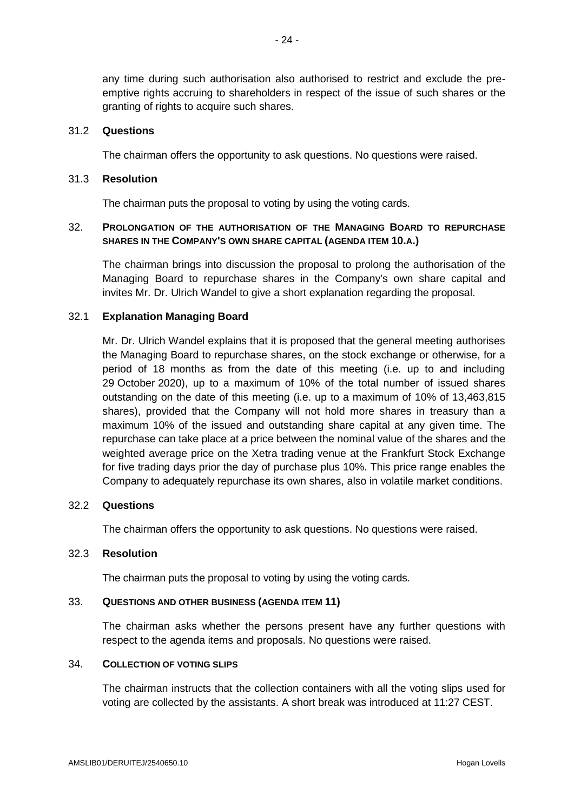any time during such authorisation also authorised to restrict and exclude the preemptive rights accruing to shareholders in respect of the issue of such shares or the granting of rights to acquire such shares.

#### 31.2 **Questions**

The chairman offers the opportunity to ask questions. No questions were raised.

#### 31.3 **Resolution**

The chairman puts the proposal to voting by using the voting cards.

# 32. **PROLONGATION OF THE AUTHORISATION OF THE MANAGING BOARD TO REPURCHASE SHARES IN THE COMPANY'S OWN SHARE CAPITAL (AGENDA ITEM 10.A.)**

The chairman brings into discussion the proposal to prolong the authorisation of the Managing Board to repurchase shares in the Company's own share capital and invites Mr. Dr. Ulrich Wandel to give a short explanation regarding the proposal.

#### 32.1 **Explanation Managing Board**

Mr. Dr. Ulrich Wandel explains that it is proposed that the general meeting authorises the Managing Board to repurchase shares, on the stock exchange or otherwise, for a period of 18 months as from the date of this meeting (i.e. up to and including 29 October 2020), up to a maximum of 10% of the total number of issued shares outstanding on the date of this meeting (i.e. up to a maximum of 10% of 13,463,815 shares), provided that the Company will not hold more shares in treasury than a maximum 10% of the issued and outstanding share capital at any given time. The repurchase can take place at a price between the nominal value of the shares and the weighted average price on the Xetra trading venue at the Frankfurt Stock Exchange for five trading days prior the day of purchase plus 10%. This price range enables the Company to adequately repurchase its own shares, also in volatile market conditions.

### 32.2 **Questions**

The chairman offers the opportunity to ask questions. No questions were raised.

## 32.3 **Resolution**

The chairman puts the proposal to voting by using the voting cards.

#### 33. **QUESTIONS AND OTHER BUSINESS (AGENDA ITEM 11)**

The chairman asks whether the persons present have any further questions with respect to the agenda items and proposals. No questions were raised.

#### 34. **COLLECTION OF VOTING SLIPS**

The chairman instructs that the collection containers with all the voting slips used for voting are collected by the assistants. A short break was introduced at 11:27 CEST.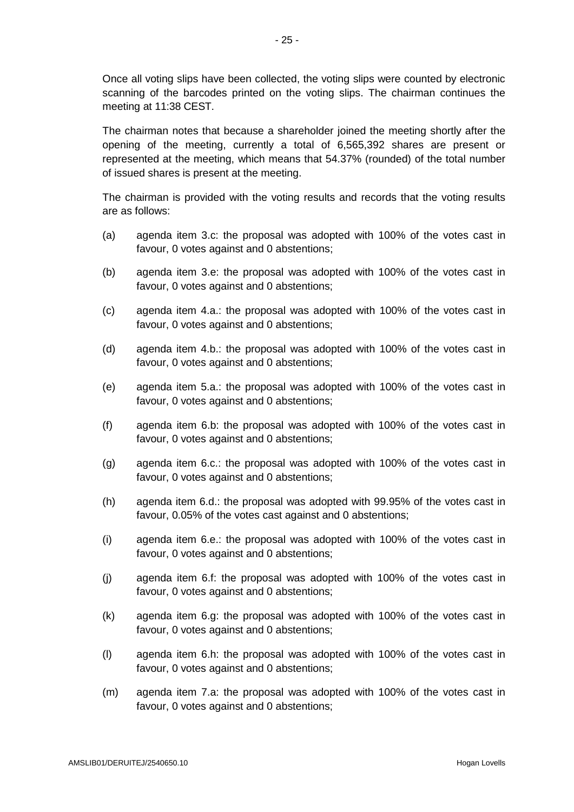Once all voting slips have been collected, the voting slips were counted by electronic scanning of the barcodes printed on the voting slips. The chairman continues the meeting at 11:38 CEST.

The chairman notes that because a shareholder joined the meeting shortly after the opening of the meeting, currently a total of 6,565,392 shares are present or represented at the meeting, which means that 54.37% (rounded) of the total number of issued shares is present at the meeting.

The chairman is provided with the voting results and records that the voting results are as follows:

- (a) agenda item 3.c: the proposal was adopted with 100% of the votes cast in favour, 0 votes against and 0 abstentions;
- (b) agenda item 3.e: the proposal was adopted with 100% of the votes cast in favour, 0 votes against and 0 abstentions;
- (c) agenda item 4.a.: the proposal was adopted with 100% of the votes cast in favour, 0 votes against and 0 abstentions;
- (d) agenda item 4.b.: the proposal was adopted with 100% of the votes cast in favour, 0 votes against and 0 abstentions;
- (e) agenda item 5.a.: the proposal was adopted with 100% of the votes cast in favour, 0 votes against and 0 abstentions;
- (f) agenda item 6.b: the proposal was adopted with 100% of the votes cast in favour, 0 votes against and 0 abstentions;
- (g) agenda item 6.c.: the proposal was adopted with 100% of the votes cast in favour, 0 votes against and 0 abstentions;
- (h) agenda item 6.d.: the proposal was adopted with 99.95% of the votes cast in favour, 0.05% of the votes cast against and 0 abstentions;
- (i) agenda item 6.e.: the proposal was adopted with 100% of the votes cast in favour, 0 votes against and 0 abstentions;
- (j) agenda item 6.f: the proposal was adopted with 100% of the votes cast in favour, 0 votes against and 0 abstentions;
- (k) agenda item 6.g: the proposal was adopted with 100% of the votes cast in favour, 0 votes against and 0 abstentions;
- (l) agenda item 6.h: the proposal was adopted with 100% of the votes cast in favour, 0 votes against and 0 abstentions;
- (m) agenda item 7.a: the proposal was adopted with 100% of the votes cast in favour, 0 votes against and 0 abstentions;